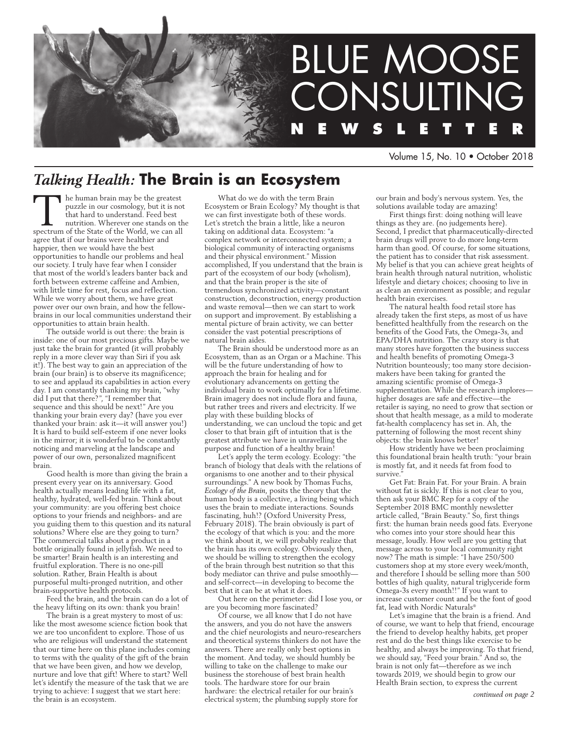

Volume 15, No. 10 • October 2018

# *Talking Health:* **The Brain is an Ecosystem**

The human brain may be the greatest<br>puzzle in our cosmology, but it is not<br>that hard to understand. Feed best<br>nutrition. Wherever one stands on th<br>spectrum of the State of the World, we can all puzzle in our cosmology, but it is not that hard to understand. Feed best nutrition. Wherever one stands on the agree that if our brains were healthier and happier, then we would have the best opportunities to handle our problems and heal our society. I truly have fear when I consider that most of the world's leaders banter back and forth between extreme caffeine and Ambien, with little time for rest, focus and reflection. While we worry about them, we have great power over our own brain, and how the fellowbrains in our local communities understand their opportunities to attain brain health.

The outside world is out there: the brain is inside: one of our most precious gifts. Maybe we just take the brain for granted (it will probably reply in a more clever way than Siri if you ask it!). The best way to gain an appreciation of the brain (our brain) is to observe its magnificence; to see and applaud its capabilities in action every day. I am constantly thanking my brain, "why did I put that there?", "I remember that sequence and this should be next!" Are you thanking your brain every day? (have you ever thanked your brain: ask it—it will answer you!) It is hard to build self-esteem if one never looks in the mirror; it is wonderful to be constantly noticing and marveling at the landscape and power of our own, personalized magnificent brain.

Good health is more than giving the brain a present every year on its anniversary. Good health actually means leading life with a fat, healthy, hydrated, well-fed brain. Think about your community: are you offering best choice options to your friends and neighbors- and are you guiding them to this question and its natural solutions? Where else are they going to turn? The commercial talks about a product in a bottle originally found in jellyfish. We need to be smarter! Brain health is an interesting and fruitful exploration. There is no one-pill solution. Rather, Brain Health is about purposeful multi-pronged nutrition, and other brain-supportive health protocols.

Feed the brain, and the brain can do a lot of the heavy lifting on its own: thank you brain!

The brain is a great mystery to most of us: like the most awesome science fiction book that we are too unconfident to explore. Those of us who are religious will understand the statement that our time here on this plane includes coming to terms with the quality of the gift of the brain that we have been given, and how we develop, nurture and love that gift! Where to start? Well let's identify the measure of the task that we are trying to achieve: I suggest that we start here: the brain is an ecosystem.

What do we do with the term Brain Ecosystem or Brain Ecology? My thought is that we can first investigate both of these words. Let's stretch the brain a little, like a neuron taking on additional data. Ecosystem: "a complex network or interconnected system; a biological community of interacting organisms and their physical environment." Mission accomplished, If you understand that the brain is part of the ecosystem of our body (wholism), and that the brain proper is the site of tremendous synchronized activity—constant construction, deconstruction, energy production and waste removal—then we can start to work on support and improvement. By establishing a mental picture of brain activity, we can better consider the vast potential prescriptions of natural brain aides.

The Brain should be understood more as an Ecosystem, than as an Organ or a Machine. This will be the future understanding of how to approach the brain for healing and for evolutionary advancements on getting the individual brain to work optimally for a lifetime. Brain imagery does not include flora and fauna, but rather trees and rivers and electricity. If we play with these building blocks of understanding, we can uncloud the topic and get closer to that brain gift of intuition that is the greatest attribute we have in unravelling the purpose and function of a healthy brain!

Let's apply the term ecology. Ecology: "the branch of biology that deals with the relations of organisms to one another and to their physical surroundings." A new book by Thomas Fuchs, *Ecology of the Brain*, posits the theory that the human body is a collective, a living being which uses the brain to mediate interactions. Sounds fascinating, huh!? (Oxford University Press, February 2018). The brain obviously is part of the ecology of that which is you: and the more we think about it, we will probably realize that the brain has its own ecology. Obviously then, we should be willing to strengthen the ecology of the brain through best nutrition so that this body mediator can thrive and pulse smoothly and self-correct—in developing to become the best that it can be at what it does.

Out here on the perimeter: did I lose you, or you becoming more fascinated?

Of course, we all know that I do not have the answers, and you do not have the answers and the chief neurologists and neuro-researchers and theoretical systems thinkers do not have the answers. There are really only best options in the moment. And today, we should humbly be willing to take on the challenge to make our business the storehouse of best brain health tools. The hardware store for our brain hardware: the electrical retailer for our brain's electrical system; the plumbing supply store for

our brain and body's nervous system. Yes, the solutions available today are amazing!

First things first: doing nothing will leave things as they are. (no judgements here). Second, I predict that pharmaceutically-directed brain drugs will prove to do more long-term harm than good. Of course, for some situations, the patient has to consider that risk assessment. My belief is that you can achieve great heights of brain health through natural nutrition, wholistic lifestyle and dietary choices; choosing to live in as clean an environment as possible; and regular health brain exercises.

The natural health food retail store has already taken the first steps, as most of us have benefitted healthfully from the research on the benefits of the Good Fats, the Omega-3s, and EPA/DHA nutrition. The crazy story is that many stores have forgotten the business success and health benefits of promoting Omega-3 Nutrition bounteously; too many store decisionmakers have been taking for granted the amazing scientific promise of Omega-3 supplementation. While the research imploreshigher dosages are safe and effective—the retailer is saying, no need to grow that section or shout that health message, as a mild to moderate fat-health complacency has set in. Ah, the patterning of following the most recent shiny objects: the brain knows better!

How stridently have we been proclaiming this foundational brain health truth: "your brain is mostly fat, and it needs fat from food to survive<sup>3</sup>

Get Fat: Brain Fat. For your Brain. A brain without fat is sickly. If this is not clear to you, then ask your BMC Rep for a copy of the September 2018 BMC monthly newsletter article called, "Brain Beauty." So, first things first: the human brain needs good fats. Everyone who comes into your store should hear this message, loudly. How well are you getting that message across to your local community right now? The math is simple: "I have 250/500 customers shop at my store every week/month, and therefore I should be selling more than 500 bottles of high quality, natural triglyceride form Omega-3s every month!!" If you want to increase customer count and be the font of good fat, lead with Nordic Naturals®

Let's imagine that the brain is a friend. And of course, we want to help that friend, encourage the friend to develop healthy habits, get proper rest and do the best things like exercise to be healthy, and always be improving. To that friend, we should say, "Feed your brain." And so, the brain is not only fat—therefore as we inch towards 2019, we should begin to grow our Health Brain section, to express the current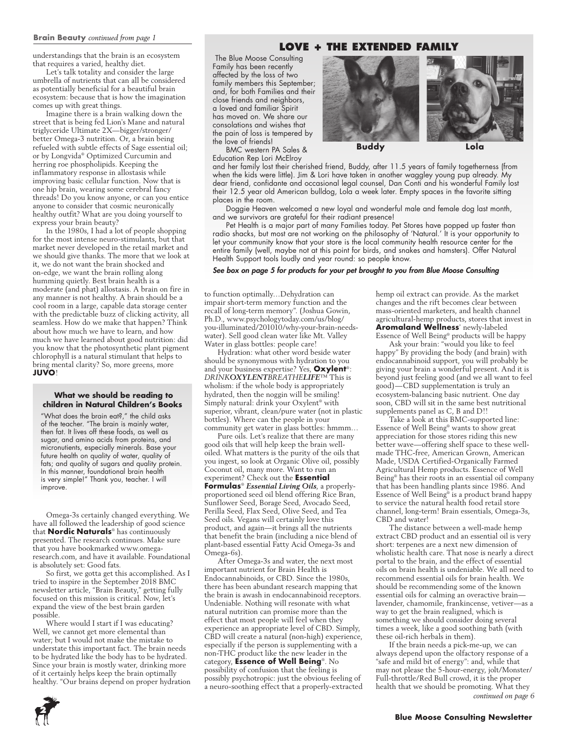#### **Brain Beauty** *continued from page 1*

understandings that the brain is an ecosystem that requires a varied, healthy diet.

Let's talk totality and consider the large umbrella of nutrients that can all be considered as potentially beneficial for a beautiful brain ecosystem: because that is how the imagination comes up with great things.

Imagine there is a brain walking down the street that is being fed Lion's Mane and natural triglyceride Ultimate 2X—bigger/stronger/ better Omega-3 nutrition. Or, a brain being refueled with subtle effects of Sage essential oil; or by Longvida® Optimized Curcumin and herring roe phospholipids. Keeping the inflammatory response in allostasis while improving basic cellular function. Now that is one hip brain, wearing some cerebral fancy threads! Do you know anyone, or can you entice anyone to consider that cosmic neuronically healthy outfit? What are you doing yourself to express your brain beauty?

In the 1980s, I had a lot of people shopping for the most intense neuro-stimulants, but that market never developed in the retail market and we should give thanks. The more that we look at it, we do not want the brain shocked and on-edge, we want the brain rolling along humming quietly. Best brain health is a moderate (and phat) allostasis. A brain on fire in any manner is not healthy. A brain should be a cool room in a large, capable data storage center with the predictable buzz of clicking activity, all seamless. How do we make that happen? Think about how much we have to learn, and how much we have learned about good nutrition: did you know that the photosynthetic plant pigment chlorophyll is a natural stimulant that helps to bring mental clarity? So, more greens, more **JUVO**!

#### **What we should be reading to children in Natural Children's Books**

"What does the brain eat?," the child asks of the teacher. "The brain is mainly water, then fat. It lives off these foods, as well as sugar, and amino acids from proteins, and micronutients, especially minerals. Base your future health on quality of water, quality of fats; and quality of sugars and quality protein. In this manner, foundational brain health is very simple!" Thank you, teacher. I will improve.

Omega-3s certainly changed everything. We have all followed the leadership of good science that **Nordic Naturals**® has continuously presented. The research continues. Make sure that you have bookmarked www.omegaresearch.com, and have it available. Foundational is absolutely set: Good fats.

So first, we gotta get this accomplished. As I tried to inspire in the September 2018 BMC newsletter article, "Brain Beauty," getting fully focused on this mission is critical. Now, let's expand the view of the best brain garden possible.

Where would I start if I was educating? Well, we cannot get more elemental than water; but I would not make the mistake to understate this important fact. The brain needs to be hydrated like the body has to be hydrated. Since your brain is mostly water, drinking more of it certainly helps keep the brain optimally healthy. "Our brains depend on proper hydration

### **Love + the extended Family**

The Blue Moose Consulting Family has been recently affected by the loss of two family members this September; and, for both Families and their close friends and neighbors, a loved and familiar Spirit has moved on. We share our consolations and wishes that the pain of loss is tempered by the love of friends!

BMC western PA Sales & Education Rep Lori McElroy



and her family lost their cherished friend, Buddy, after 11.5 years of family togetherness (from when the kids were little). Jim & Lori have taken in another waggley young pup already. My dear friend, confidante and occasional legal counsel, Dan Conti and his wonderful Family lost their 12.5 year old American bulldog, Lola a week later. Empty spaces in the favorite sitting places in the room.

Doggie Heaven welcomed a new loyal and wonderful male and female dog last month, and we survivors are grateful for their radiant presence!

Pet Health is a major part of many Families today. Pet Stores have popped up faster than radio shacks, but most are not working on the philosophy of 'Natural.' It is your opportunity to let your community know that your store is the local community health resource center for the entire family (well, maybe not at this point for birds, and snakes and hamsters). Offer Natural Health Support tools loudly and year round: so people know.

*See box on page 5 for products for your pet brought to you from Blue Moose Consulting*

to function optimally…Dehydration can impair short-term memory function and the recall of long-term memory". (Joshua Gowin, Ph.D., www.psychologytoday.com/us/blog/ you-illuminated/201010/why-your-brain-needswater). Sell good clean water like Mt. Valley Water in glass bottles: people care!

Hydration: what other word beside water should be synonymous with hydration to you and your business expertise? Yes, **Oxylent**®: *DRINKOXYLENTBREATHELIFE*™ This is wholism: if the whole body is appropriately hydrated, then the noggin will be smiling! Simply natural: drink your Oxylent® with superior, vibrant, clean/pure water (not in plastic bottles). Where can the people in your community get water in glass bottles: hmmm…

Pure oils. Let's realize that there are many good oils that will help keep the brain welloiled. What matters is the purity of the oils that you ingest, so look at Organic Olive oil, possibly Coconut oil, many more. Want to run an

experiment? Check out the **Essential Formulas**® *Essential Living Oils*, a properlyproportioned seed oil blend offering Rice Bran, Sunflower Seed, Borage Seed, Avocado Seed, Perilla Seed, Flax Seed, Olive Seed, and Tea Seed oils. Vegans will certainly love this product, and again—it brings all the nutrients that benefit the brain (including a nice blend of plant-based essential Fatty Acid Omega-3s and Omega-6s).

After Omega-3s and water, the next most important nutrient for Brain Health is Endocannabinoids, or CBD. Since the 1980s, there has been abundant research mapping that the brain is awash in endocannabinoid receptors. Undeniable. Nothing will resonate with what natural nutrition can promise more than the effect that most people will feel when they experience an appropriate level of CBD. Simply, CBD will create a natural (non-high) experience, especially if the person is supplementing with a non-THC product like the new leader in the category, **Essence of Well Being**®. No possibility of confusion that the feeling is possibly psychotropic: just the obvious feeling of a neuro-soothing effect that a properly-extracted

hemp oil extract can provide. As the market changes and the rift becomes clear between mass-oriented marketers, and health channel agricultural-hemp products, stores that invest in **Aromaland Wellness**' newly-labeled Essence of Well Being® products will be happy

Ask your brain: "would you like to feel happy" By providing the body (and brain) with endocannabinoid support, you will probably be giving your brain a wonderful present. And it is beyond just feeling good (and we all want to feel good)—CBD supplementation is truly an ecosystem-balancing basic nutrient. One day soon, CBD will sit in the same best nutritional supplements panel as C, B and D!!

Take a look at this BMC-supported line: Essence of Well Being® wants to show great appreciation for those stores riding this new better wave—offering shelf space to these wellmade THC-free, American Grown, American Made, USDA Certified-Organically Farmed Agricultural Hemp products. Essence of Well Being® has their roots in an essential oil company that has been handling plants since 1986. And Essence of Well Being® is a product brand happy to service the natural health food retail store channel, long-term! Brain essentials, Omega-3s, CBD and water!

The distance between a well-made hemp extract CBD product and an essential oil is very short: terpenes are a next new dimension of wholistic health care. That nose is nearly a direct portal to the brain, and the effect of essential oils on brain health is undeniable. We all need to recommend essential oils for brain health. We should be recommending some of the known essential oils for calming an overactive brain lavender, chamomile, frankincense, vetiver—as a way to get the brain realigned, which is something we should consider doing several times a week, like a good soothing bath (with these oil-rich herbals in them).

If the brain needs a pick-me-up, we can always depend upon the olfactory response of a "safe and mild bit of energy": and, while that may not please the 5-hour-energy, jolt/Monster/ Full-throttle/Red Bull crowd, it is the proper health that we should be promoting. What they *continued on page 6*

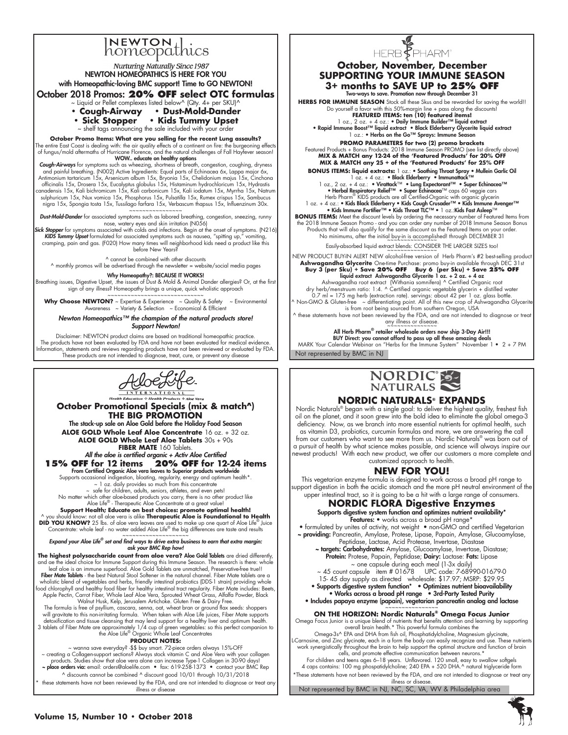# **NEWTON**<br>homeopathics

# **Nurturing Naturally Since 1987** NEWTON HOMEOPATHICS IS HERE FOR YOU with Homeopathic-loving BMC support! Time to GO NEWTON! October 2018 Promos: **20% OFF select OTC formulas** Liquid or Pellet complexes listed below^ (Qty. 4+ per SKU)^ **• Cough-Airway • Dust-Mold-Dander • Sick Stopper • Kids Tummy Upset**  ~ shelf tags announcing the sale included with your order **October Promo Items: What are you selling for the recent Lung assaults?** The entire East Coast is dealing with: the air quality effects of a continent on fire: the burgeoning effects of fungus/mold aftermaths of Hurricane Florence, and the natural challenges of Fall Hayfever season! **Cough-Airways** for symptoms su**NOW.. educate on healthy options**<br>**Cough-Airways** for symptoms such as wheezing, shortness of breath, congestion, coughing, dryness<br>and painful breathing. (NO02) Active Ingredients: Equal pa Antimonium tartaricum 15x, Arsenicum album 15x, Bryonia 15x, Chelidonium majus 15x, Cinchona<br>officinalis 15x, Drosera 15x, Eucalyptus globulus 15x, Histaminum hydrochloricum 15x, Hydrastis<br>canadensis 15x, Kali bichromicum sulphuricum 15x, Nux vomica 15x, Phosphorus 15x, Pulsatilla 15x, Rumex crispus 15x, Sambucus nigra 15x, Spongia tosta 15x, Tussilago farfara 15x, Verbascum thapsus 15x, Influenzinum 30x. Dust-Mold-Dander for associated symptoms such as a boreal breathing, congestion, sneezing, runny<br>nose, watery eyes and skin irritation (NO56)<br>Sick Stopper for symptoms associated with colds and infections. Begin at the ons

*KIDS Tummy Upset* formulated for associated symptoms such as nausea, "spitting up," vomiting, cramping, pain and gas. (F020) How many times will neighborhood kids need a product like this before New Years?

^ cannot be combined with other discounts

 $\land$  monthly promos will be advertised through the newsletter = website/social media pages

**Why Homeopathy?: BECAUSE IT WORKS!**<br>Breathing issues, Digestive Upset, .the issues of Dust & Mold & Animal Dander allergies? Or, at the first sign of any illness? Homeopathy brings a unique, quick wholistic approach

~~~~~~~~~~~~~~~~~~~~~~~~~~~~~ **Why Choose NEWTON?** ~ Expertise & Experience ~ Quality & Safety ~ Environmental Awareness ~ Variety & Selection ~ Economical & Efficient

*Newton Homeopathics™ the champion of the natural products store! Support Newton!*

Disclaimer: NEWTON product claims are based on traditional homeopathic practice. The products have not been evaluated by FDA and have not been evaluated for medical evidence. Information, statements and reviews regarding products have not been reviewed or evaluated by FDA. These products are not intended to diagnose, treat, cure, or prevent any disease



**October Promotional Specials (mix & match^) THE BIG PROMOTION** The stack-up sale on Aloe Gold before the Holiday Food Season **ALOE GOLD Whole Leaf Aloe Concentrate** 16 oz. + 32 oz. **ALOE GOLD Whole Leaf Aloe Tablets** 30s + 90s **FIBER MATE** 160 Tablets. *All the aloe is certified organic + Activ Aloe Certified* **15% OFF for 12 items 20% OFF for 12-24 items** From Certified Organic Aloe vera leaves to Superior products worldwide Supports occasional indigestion, bloating, regularity, energy and optimum health\*. ~ 1 oz. daily provides so much from this concentrate safe for children, adults, seniors, athletes, and even pets! No matter which other aloe-based products you carry, there is no other product like Aloe Life® - Therapeutic Aloe Concentrate at a great value! Support Health; Educate on best choices: promote optimal health!<br>^ you shoud know: not all aloe vera is alike Therapeutic Aloe is Foundational to Health<br>DID YOU KNOW? 25 lbs. of aloe vera leaves are used to make up one qua Concentrate: whole leaf - no water added Aloe Life® the big differences are taste and results ~~~~~~~~~~~~~~~~~~~~ *Expand your Aloe Life® set and find ways to drive extra business to earn that extra margin:* 

*ask your BMC Rep how!*

**The highest polysaccharide count from aloe vera?** Aloe Gold Tablets are dried differently, and ae the ideal choice for Immune Support during this Immune Season. The research is there: whole leaf aloe is an immune superfood. Aloe Gold Tablets are unmatched, Preservative-free true!! Fiber Mate Tablets - the best Natural Stool Softener in the natural channel. Fiber Mate tablets are a wholistic blend of vegetables and herbs, friendly intestinal probiotics (DDS-1 strain) providing whole food chlorophyll and healthy food fiber for healthy intestinal tract regularity. Fiber Mate includes: Beets, Apple Pectin, Carrot Fiber, Whole Leaf Aloe Vera, Sprouted Wheat Grass, Alfalfa Powder, Black<br>Walnut Husk, Kelp, Jerusalem Artichoke. Gluten Free & Dairy Free.<br>The formula is free of psyllium, cascara, senna, oat, wheat br will gravitate to this non-irritating formula. When taken with Aloe Life juices, Fiber Mate supports detoxification and tissue cleansing that may lend support for a healthy liver and optimum health.<br>3 tablets of Fiber Mate are approximately 1/4 cup of green vegetables: so this perfect companion to<br>the Aloe Life® Organic W **PRODUCT NOTES:**

vanna save everyday? -\$\$ buy smart. 72-piece orders always 15%-OFF مصر vanna save everyday? -\$\$ buy smart. 72-piece orders always 15%-OFF مصر reating a Collagen support sections? Always stock vitamin C and Aloe Vera with y

^ discounts cannot be combined ^ discount good 10/01 through 10/31/2018 these statements have not been reviewed by the FDA, and are not intended to diagnose or treat any illness or disease



### **October, November, December SUPPORTING YOUR IMMUNE SEASON 3+ months to SAVE UP to 25% OFF**

Two-ways to save. Promotion now through December 31

HERBS FOR IMMUNE SEASON Stock all these Skus and be rewarded for saving the world!! Do yourself a favor with this 50%-margin line + pass along the discounts! **FEATURED ITEMS: ten (10) featured items!**

1 oz., 2 oz. + 4 oz.: • Daily Immune Builder™ liquid extract<br>• Rapid Immune Boost™ liquid extract • Black Elderberry Glycerite liquid extract<br>• 2 oz.: • Herbs on the Go™ Sprays: Immune Season

**PROMO PARAMETERS for two (2) promo brackets**<br>Featured Products + Bonus Products: 2018 Immune Season PROMO (see list directly above)<br>MIX & MATCH any 12-24 of the 'Featured Products' for 20% OFF **MIX & MATCH any 25 + of the 'Featured Products' for 25% OFF**

**BONUS ITEMS: liquid extracts:** 1 oz.: • Soothing Throat Spray • Mullein Garlic Oil<br>
1 oz., 2 oz. + 4 oz.: • Nicathof Herberry • Immunatela<sup>k TM</sup><br>
1 oz., 2 oz. + 4 oz.: • Virathack<sup>TM</sup> • Lung Expectrant<sup>TM</sup> • Super Echin

**BONUS ITEMS:** Meet the discount levels by ordering the necessary number of Featured Items from<br>the 2018 Immune Season Promo - and you can order any number of 2018 Immune Season Bonus<br>Products that will also qualify for th

Easily-absorbed liquid extract blends: CONSIDER THE LARGER SIZES too!

NEW PRODUCT BUY-IN ALERT NEW alcohol-free version of Herb Pharm's #2 best-selling product<br>**Ashwagandha Glycerite One-time Purchase: promo buy-in available through DEC 31st<br>Bu<b>y 3 (per Sku) + Save 20% OFF** Buy 6 (per Sku) +

liquid extract Ashwagandha Glycerite 1 oz. + 2 oz. + 4 oz<br>Ashwagandha root extract (Withania somnifera) ^ Certified Organic vegetable glycerin + distilled water<br>dry herb/menstruum ratio: 1:4. ^ Certified organic vegetable 0.7 ml = 175 mg herb (extraction rate). servings: about 42 per 1 oz. glass bottle.<br>^ Non-GMO & Gluten-free ~ differentiating point. All of this new crop of Ashwagandha Glycerite ^<br>is from root being sourced from southern

^ these statements have not been reviewed by the FDA, and are not intended to diagnose or treat any illness or disease.<br>~~~~~~~~~~~~~~~~

Not represented by BMC in NJ All Herb Pharm® retailer wholesale orders now ship 3-Day Air!!!<br>BUY Direct: you cannot afford to pass up all these amazing deals<br>MARK Your Calendar Webinar on "Herbs for the Immune System" November 1 • 2 + 7 PM



# **NORDIC NATURALS® EXPANDS**

Nordic Naturals® began with a single goal: to deliver the highest quality, freshest fish oil on the planet, and it soon grew into the bold idea to eliminate the global omega-3 deficiency. Now, as we branch into more essential nutrients for optimal health, such as vitamin D3, probiotics, curcumin formulas and more, we are answering the call from our customers who want to see more from us. Nordic Naturals® was born out of a pursuit of health by what science makes possible, and science will always inspire our newest products! With each new product, we offer our customers a more complete and customized approach to health.

# **New for You!**

This vegetarian enzyme formula is designed to work across a broad pH range to support digestion in both the acidic stomach and the more pH neutral environment of the upper intestinal tract, so it is going to be a hit with a large range of consumers.

#### **NORDIC FLORA Digestive Enzymes** Supports digestive system function and optimizes nutrient availability\*

Features: • works across a broad pH range<sup>\*</sup>

• formulated by unites of activity, not weight • non-GMO and certified Vegetarian ~ providing: Pancreatin, Amylase, Protese, Lipase, Papain, Amylase, Glucoamylase, Peptidase, Lactase, Acid Protease, Invertase, Diastase

~ targets: Carbohydrates: Amylase, Glucoamylase, Invertase, Diastase; **Protein:** Protese, Papain, Peptidase; **Dairy:** Lactase: **Fats:** Lipase ~ one capsule during each meal (1-3x daily)

~ 45 count capsule item # 01678 UPC code: 7-68990-01679-0 15- 45 day supply as directed wholesale: \$17.97; MSRP: \$29.95 • Supports digestive system function\* • Optimizes nutrient bioavailability • Works across a broad pH range • 3rd-Party Tested Purity

• Includes papaya enzyme (papain), vegetarian pancreatin analog and lactase

**ON THE HORIZON: Nordic Naturals® Omega Focus Junior**

Omega Focus Junior is a unique blend of nutrients that benefits attention and learning by supporting

overall brain health.\* This powerful formula combines the<br>Omega-3s^ EPA and DHA from fish oil, Phosphatidylcholine, Magnesium glycinate,<br>L-Carnosine, and Zinc glycinate, each in a form the body can easily recognize and use

cells, and promote effective communication between neurons.\*<br>For children and teens ages 6–18 years. Unflavored. 120 small, easy to swallow softgels<br>A caps contains: 100 mg phospatidylcholine; 240 EPA + 520 DHA.^ natural t \*These statements have not been reviewed by the FDA, and are not intended to diagnose or treat any illness or disease.

Not represented by BMC in NJ, NC, SC, VA, WV & Philadelphia area

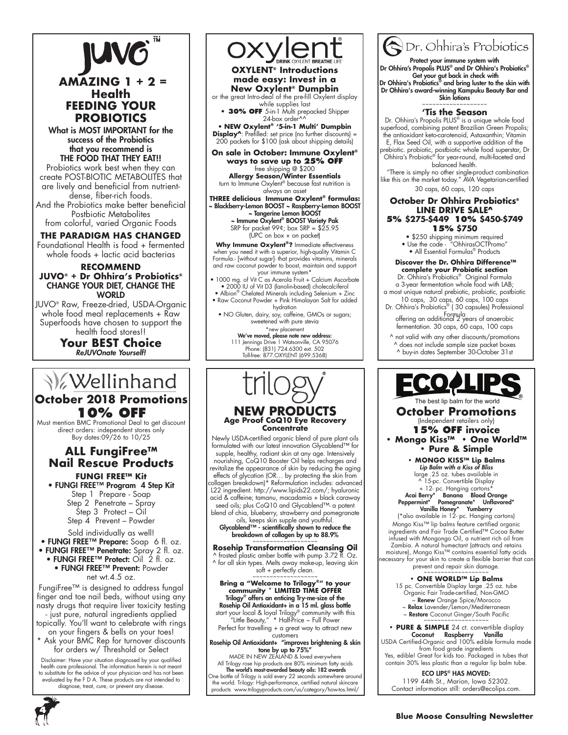

# **AMAZING 1 + 2 = Health FEEDING YOUR PROBIOTICS**

What is MOST IMPORTANT for the success of the Probiotics that you recommend is THE FOOD THAT THEY EAT!!

Probiotics work best when they can create POST-BIOTIC METABOLITES that are lively and beneficial from nutrientdense, fiber-rich foods.

And the Probiotics make better beneficial Postbiotic Metabolites from colorful, varied Organic Foods

**THE PARADIGM HAS CHANGED** Foundational Health is food + fermented whole foods + lactic acid bacterias

#### **RECOMMEND JUVO® + Dr Ohhira's Probiotics®** CHANGE YOUR DIET, CHANGE THE **WORLD**

JUVO® Raw, Freeze-dried, USDA-Organic whole food meal replacements + Raw Superfoods have chosen to support the health food stores!!

**Your BEST Choice** *ReJUVOnate Yourself!*

# **V**ellinhand **October 2018 Promotions**

**10% OFF**  Must mention BMC Promotional Deal to get discount direct orders: independent stores only Buy dates:09/26 to 10/25

# **ALL FungiFree™ Nail Rescue Products**

**FUNGI FREE™ Kit** • FUNGI FREE™ Program 4 Step Kit Step 1 Prepare - Soap

Step 2 Penetrate – Spray Step 3 Protect – Oil Step 4 Prevent – Powder

Sold individually as well! • FUNGI FREE™ Prepare: Soap 6 fl. oz. • FUNGI FREE™ Penetrate: Spray 2 fl. oz. • FUNGI FREE™ Protect: Oil 2 fl. oz. • FUNGI FREE™ Prevent: Powder net wt.4.5 oz.

FungiFree™ is designed to address fungal finger and toe nail beds, without using any nasty drugs that require liver toxicity testing - just pure, natural ingredients applied topically. You'll want to celebrate with rings on your fingers & bells on your toes!

\* Ask your BMC Rep for turnover discounts for orders w/ Threshold or Select

Disclaimer: Have your situation diagnosed by your qualified health care professional. The information herein is not meant to substitute for the advice of your physician and has not been evaluated by the F D A. These products are not intended to diagnose, treat, cure, or prevent any disease.



**OXYLENT® Introductions made easy: Invest in a New Oxylent® Dumpbin**

or the great Intro-deal of the pre-fill Oxylent display while supplies last **• 30% OFF** 5-in-1 Multi prepacked Shipper

24-box order^^ • **NEW Oxylent® '5-in-1 Multi' Dumpbin** 

**Display^**: Prefilled: set price (no further discounts) = 200 packets for \$100 (ask about shipping details)

**On sale in October: Immune Oxylent® ways to save up to 25% OFF** free shipping @ \$200 **Allergy Season/Winter Essentials** turn to Immune Oxylent® because fast nutrition is always an asset

**THREE delicious Immune Oxylent® formulas:** ~ Blackberry-Lemon BOOST ~ Raspberry-Lemon BOOST ~ Tangerine Lemon BOOST

~ Immune Oxylent® BOOST Variety Pak SRP for packet  $994$ ; box SRP =  $$25.95$ (UPC on box + on packet)

**Why Immune Oxylent®?** Immediate effectiveness when you need it with a superior, high-quality Vitamin C Formula.- [without sugar]- that provides vitamins, minerals and raw coconut powder to boost, maintain and support

your immune system\* • 1000 mg. of Vit C as Acerola Fruit + Calcium Ascorbate • 2000 IU of Vit D3 (lanolin-based) cholecalciferol

- Albion® Chelated Minerals including Selenium + Zinc • Raw Coconut Powder + Pink Himalayan Salt for added hydration
	- NO Gluten, dairy, soy, caffeine, GMOs or sugars; sweetened with pure stevia \*new placement

We've moved, please note new address: 111 Jennings Drive | Watsonville, CA 95076 Phone: (831) 724.6300 ext. 502 Toll-free: 877.OXYLENT (699.5368)



Newly USDA-certified organic blend of pure plant oils formulated with our latest innovation Glycablend™ for supple, healthy, radiant skin at any age. Intensively nourishing, CoQ10 Booster Oil helps recharges and revitalize the appearance of skin by reducing the aging effects of glycation (OR… by protecting the skin from collagen breakdown)\* Reformulation includes: advanced L22 ingredient. http://www.lipids22.com/; hyaluronic acid & caffeine; tamanu, macadamia + black caraway seed oils; plus CoQ10 and Glycablend™- a potent blend of chia, blueberry, strawberry and pomegranate

oils, keeps skin supple and youthful. Glycablend™ - scientifically shown to reduce the breakdown of collagen by up to 88.9%

# **Rosehip Transformation Cleansing Oil**

^ frosted plastic amber bottle with pump 3.72 fl. Oz. ^ for all skin types. Melts away make-up, leaving skin soft + perfectly clean.

~~~~~~~~~~~~~~~~~~~ **Bring a "Welcome to Trilogy®" to your community \* LIMITED TIME OFFER** Trilogy® offers an enticing Try-me-size of the Rosehip Oil Antioxidant+ in a 15 ml. glass bottle start your local & loyal Trilogy® community with this "Little Beauty," \* Half-Price ~ Full Power

Perfect for travelling + a great way to attract new customers

Rosehip Oil Antioxidant+ "improves brightening & skin **tone by up to 75%"**<br>MADE IN NEW ZEALAND & loved everywhere

All Trilogy rose hip products are 80% minimum fatty acids<br>**The world's most-awarded beauty oils: 182 awards** 

One bottle of Trilogy is sold every 22 seconds somewhere around the world. Trilogy: High-performance, certified natural skincare products www.trilogyproducts.com/us/category/how-tos.html/



Protect your immune system with Dr Ohhira's Propolis PLUS® and Dr Ohhira's Probiotics®

 Get your gut back in check with Dr Ohhira's Probiotics® and bring luster to the skin with Dr Ohhira's award-winning Kampuku Beauty Bar and Skin lotions

**'Tis the Season**

Dr. Ohhira's Propolis PLUS® is a unique whole food superfood, combining potent Brazilian Green Propolis; the antioxidant keto-carotenoid, Astaxanthin; Vitamin E, Flax Seed Oil, with a supportive addition of the

prebiotic. probiotic, postbiotic whole food superstar, Dr<br>Ohhira's Probiotic® for year-round, multi-faceted and balanced health.

 "There is simply no other single-product combination like this on the market today." AVA Vegetarian-certified

30 caps, 60 caps, 120 caps

#### **October Dr Ohhira Probiotics® LINE DRIVE SALE^ 5% \$275-\$449 10% \$450-\$749 15% \$750**

• \$250 shipping minimum required

• Use the code - "OhhirasOCTPromo" • All Essential Formulas® Products

 **Discover the Dr. Ohhira Difference™ complete your Probiotic section**

Dr. Ohhira's Probiotics® Original Formula a 3-year fermentation whole food with LAB; a most unique natural prebiotic, probiotic, postbiotic

10 caps, 30 caps, 60 caps, 100 caps Dr. Ohhira's Probiotics® ( 30 capsules) Professional

Formula offering an additional 2 years of anaerobic fermentation. 30 caps, 60 caps, 100 caps

^ not valid with any other discounts/promotions ^ does not include sample size packet boxes ^ buy-in dates September 30-October 31st



**October Promotions**

(Independent retailers only) **15% OFF invoice • Mongo Kiss™ • One World™ • Pure & Simple** 

> **• MONGO KISS™ Lip Balms** *Lip Balm with a Kiss of Bliss* large .25 oz. tubes available in

^ 15-pc. Convertible Display + 12- pc. Hanging cartons\*<br>Berry\* Banana Blood Orange Acai Berry\* Banana Blood Orange Peppermint\* Pomegranate\* Unflavored\*

Vanilla Honey\* Yumberry (\*also available in 12- pc. Hanging cartons)

Mongo Kiss™ lip balms feature certified organic ingredients and Fair Trade Certified™ Cocoa Butter infused with Mongongo Oil, a nutrient rich oil from Zambia. A natural humectant (attracts and retains moisture), Mongo Kiss™ contains essential fatty acids necessary for your skin to create a flexible barrier that can  $\rho$ revent and repair skin damage.

#### **• ONE WORLD™ Lip Balms**

15 pc. Convertible Display large .25 oz. tube Organic Fair Trade-certified, Non-GMO Renew Orange Spice/Morocco Relax Lavender/Lemon/Mediterranean ~ Restore Coconut Ginger/South Pacific

**• Pure & Simple** 24 ct. convertible display

**Coconut Raspberry Vanilla**<br>USDA Certified-Organic and 100% edible formula made

from food grade ingredients Yes, edible! Great for kids too. Packaged in tubes that

contain 30% less plastic than a regular lip balm tube.

ECO LIPS® HAS MOVED: 1199 44th St., Marion, Iowa 52302.

Contact information still: orders@ecolips.com.

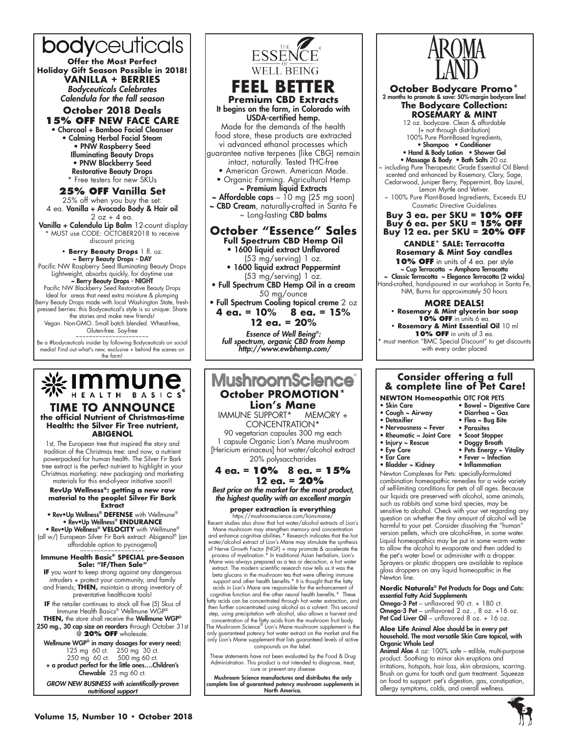bodyceuticals **Offer the Most Perfect Holiday Gift Season Possible in 2018! VANILLA + BERRIES** *Bodyceuticals Celebrates Calendula for the fall season* **October 2018 Deals**

**15% OFF NEW FACE CARE** • Charcoal + Bamboo Facial Cleanser • Calming Herbal Facial Steam • PNW Raspberry Seed Illuminating Beauty Drops • PNW Blackberry Seed

Restorative Beauty Drops \* Free testers for new SKUs

**25% OFF Vanilla Set** 25% off when you buy the set: 4 ea. Vanilla + Avocado Body & Hair oil

 $2$  oz + 4 ea. Vanilla + Calendula Lip Balm 12-count display \* MUST use CODE: OCTOBER2018 to receive discount pricing

**• Berry Beauty Drops** 1 fl. oz. ~ Berry Beauty Drops - DAY Pacific NW Raspberry Seed Illuminating Beauty Drops Lightweight, absorbs quickly, for daytime use

**~ Berry Beauty Drops - NIGHT<br>Pacific NW Blackberry Seed Restorative Beauty Drops** Ideal for areas that need extra moisture & plumping Berry Beauty Drops made with local Washington State, freshpressed berries: this Bodyceutical's style is so unique: Share the stories and make new friends! Vegan. Non-GMO. Small batch blended. Wheat-free,

Gluten-free. Soy-free

Be a #bodyceuticals insider by following Bodyceuticals on social media! Find out what's new, exclusive + behind the scenes on the farm!



#### **TIME TO ANNOUNCE the official Nutrient of Christmas-time Health: the Silver Fir Tree nutrient, ABIGENOL**

1st, The European tree that inspired the story and tradition of the Christmas tree: and now, a nutrient powerpacked for human health. The Silver Fir Bark tree extract is the perfect nutrient to highlight in your Christmas marketing: new packaging and marketing materials for this end-of-year initiative soon!!

**RevUp Wellness®: getting a new raw material to the people! Silver Fir Bark Extract**

• Rev•Up Wellness® **DEFENSE** with Wellmune® • Rev•Up Wellness® **ENDURANCE** 

• Rev•Up Wellness® **VELOCITY** with Wellmune® (all w/) European Silver Fir Bark extract: Abigenol® (an affordable option to pycnogenol)

#### **Immune Health Basic® SPECIAL pre-Season Sale: "IF/Then Sale"**

**If** you want to keep strong against any dangerous intruders + protect your community, and family and friends; **THEN,** maintain a strong inventory of preventative healthcare tools!

**IF** the retailer continues to stock all five (5) Skus of Immune Health Basics® Wellmune WGP

**THEN,** the store shall receive the Wellmune WGP® 250 mg., 30 cap size on reorders through October 31st @ **20% OFF** wholesale.

Wellmune WGP® in many dosages for every need: 125 mg 60 ct. 250 mg 30 ct. 250 mg 60 ct. 500 mg 60 ct. + a product perfect for the little ones….Children's Chewable 25 mg 60 ct.

*GROW NEW BUSINESS with scientifically-proven nutritional support*



CONCENTRATION\* 90 vegetarian capsules 300 mg each 1 capsule Organic Lion's Mane mushroom [Hericium erinaceus] hot water/alcohol extract 20% polysaccharides

$$
4 \text{ ea.} = 10\% \quad 8 \text{ ea.} = 15\%
$$

**12 ea. = 20%** *Best price on the market for the most product,* 

*the highest quality with an excellent margin*

# **proper extraction is everything**

https://mushroomscience.com/lions-mane/ Recent studies also show that hot water/alcohol extracts of Lion's Mane mushroom may strengthen memory and concentration and enhance cognitive abilities.\* Research indicates that the hot water/alcohol extract of Lion's Mane may stimulate the synthesis of Nerve Growth Factor (NGF) + may promote & accelerate the process of myelination.\* In traditional Asian herbalism, Lion's Mane was always prepared as a tea or decoction, a hot water extract. The modern scientific research now tells us it was the beta glucans in the mushroom tea that were offering immune support and other health benefits.\* It is thought that the fatty acids in Lion's Mane are responsible for the enhancement of cognitive function and the other neural health benefits.\* These fatty acids can be concentrated through hot water extraction, and then further concentrated using alcohol as a solvent. This second step, using precipitation with alcohol, also allows a harvest and concentration of the fatty acids from the mushroom fruit body. The Mushroom Science® Lion's Mane mushroom supplement is the only guaranteed potency hot water extract on the market and the only Lion's Mane supplement that lists guaranteed levels of active compounds on the label.

These statements have not been evaluated by the Food & Drug Administration. This product is not intended to diagnose, treat, cure or prevent any disease

Mushroom Science manufactures and distributes the only complete line of guaranteed potency mushroom supplements in North America.



**October Bodycare Promo**<sup>\*</sup><br>
2 months to promote & save: 50%-margin bodycare line! **The Bodycare Collection: ROSEMARY & MINT**

12 oz. bodycare. Clean & affordable (+ not through distribution) 100% Pure Plant-Based Ingredients, • Shampoo • Conditioner

• Hand & Body Lotion • Shower Gel • Massage & Body • Bath Salts 20 oz. ~ including Pure Therapeutic Grade Essential Oil Blend: scented and enhanced by Rosemary, Clary, Sage, Cedarwood, Juniper Berry, Peppermint, Bay Laurel,

Lemon Myrtle and Vetiver.  $\sim$  100% Pure Plant-Based Ingredients, Exceeds EU Cosmetic Directive Guidelines

#### **Buy 3 ea. per SKU = 10% OFF Buy 6 ea. per SKU = 15% OFF Buy 12 ea. per SKU = 20% OFF**

#### **CANDLE\* SALE: Terracotta Rosemary & Mint Soy candles**

**10% OFF** in units of 4 ea. per style ~ Cup Terracotta ~ Amphora Terracotta ~ Classic Terracotta ~ Elegance Terracotta (2 wicks)

Hand-crafted, hand-poured in our workshop in Santa Fe, NM, Burns for approximately 50 hours

#### **More deals!**

**• Rosemary & Mint glycerin bar soap 10% OFF** in units 6 eq.

**• Rosemary & Mint Essential Oil** 10 ml **10% OFF** in units of 3 ea.

must mention "BMC Special Discount" to get discounts with every order placed

### **Consider offering a full & complete line of Pet Care! NEWTON Homeopathic** OTC FOR PETS

- Skin Care
- 

• Ear Care • Bladder ~ Kidney

- Cough ~ Airway • Detoxifier
	-
- Nervousness ~ Fever
- Rheumatic ~ Joint Care
- Injury ~ Rescue • Eye Care
- Doggy Breath • Pets Energy ~ Vitality

• Bowel ~ Digestive Care • Diarrhea ~ Gas • Flea ~ Bug Bite • Parasites • Scoot Stoppe

- Fever ~ Infection
- Inflammation

Newton Complexes for Pets: specially-formulated combination homeopathic remedies for a wide variety of self-limiting conditions for pets of all ages. Because our liquids are preserved with alcohol, some animals, such as rabbits and some bird species, may be sensitive to alcohol. Check with your vet regarding any question on whether the tiny amount of alcohol will be harmful to your pet. Consider dissolving the "human" version pellets, which are alcohol-free, in some water. Liquid homeopathics may be put in some warm water to allow the alcohol to evaporate and then added to the pet's water bowl or administer with a dropper. Sprayers or plastic droppers are available to replace glass droppers on any liquid homeopathic in the Newton line.

**Nordic Naturals**® Pet Products for Dogs and Cats: essential Fatty Acid Supplements

Omega-3 Pet - unflavored 90 ct. + 180 ct. Omega-3 Pet – unflavored 2 oz. , 8 oz. +16 oz. Pet Cod Liver Oil – unflavored 8 oz. + 16 oz.

#### **Aloe Life** Animal Aloe should be in every pet household. The most versatile Skin Care topical, with Organic Whole Leaf

Animal Aloe 4 oz: 100% safe - edible, multi-purpose product. Soothing to minor skin eruptions and irritations, hotspots, hair loss, skin abrasions, scarring. Brush on gums for tooth and gum treatment. Squeeze on food to support: pet's digestion, gas, constipation, allergy symptoms, colds, and overall wellness.

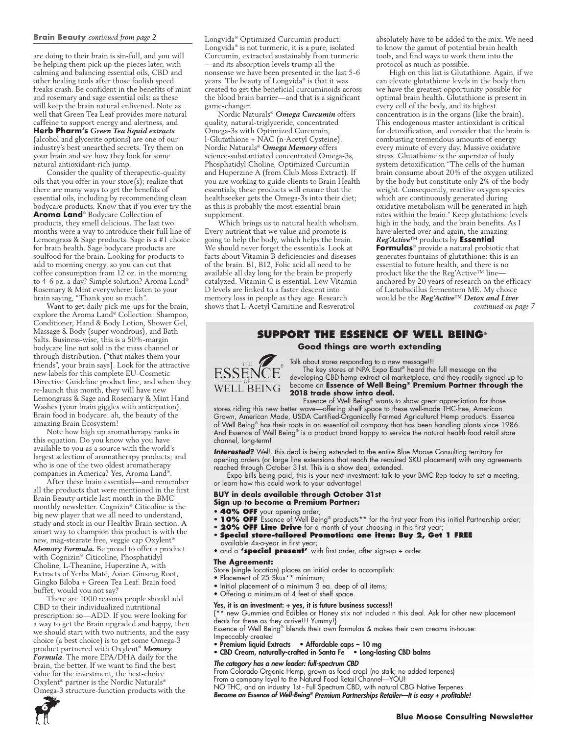#### **Brain Beauty** *continued from page 2*

are doing to their brain is sin-full, and you will be helping them pick up the pieces later, with calming and balancing essential oils, CBD and other healing tools after those foolish speed freaks crash. Be confident in the benefits of mint and rosemary and sage essential oils: as these will keep the brain natural enlivened. Note as well that Green Tea Leaf provides more natural caffeine to support energy and alertness, and **Herb Pharm's** *Green Tea liquid extracts* (alcohol and glycerite options) are one of our industry's best unearthed secrets. Try them on your brain and see how they look for some natural antioxidant-rich jump.

Consider the quality of therapeutic-quality oils that you offer in your store(s); realize that there are many ways to get the benefits of essential oils, including by recommending clean bodycare products. Know that if you ever try the **Aroma Land**® Bodycare Collection of products, they smell delicious. The last two months were a way to introduce their full line of Lemongrass & Sage products. Sage is a #1 choice for brain health. Sage bodycare products are soulfood for the brain. Looking for products to add to morning energy, so you can cut that coffee consumption from 12 oz. in the morning to 4-6 oz. a day? Simple solution? Aroma Land® Rosemary & Mint everywhere: listen to your brain saying, "Thank you so much".

Want to get daily pick-me-ups for the brain, explore the Aroma Land® Collection: Shampoo, Conditioner, Hand & Body Lotion, Shower Gel, Massage & Body (super wondrous), and Bath Salts. Business-wise, this is a 50%-margin bodycare line not sold in the mass channel or through distribution. ("that makes them your friends", your brain says]. Look for the attractive new labels for this complete EU-Cosmetic Directive Guideline product line, and when they re-launch this month, they will have new Lemongrass & Sage and Rosemary & Mint Hand Washes (your brain giggles with anticipation). Brain food in bodycare: ah, the beauty of the amazing Brain Ecosystem!

Note how high up aromatherapy ranks in this equation. Do you know who you have available to you as a source with the world's largest selection of aromatherapy products; and who is one of the two oldest aromatherapy companies in America? Yes, Aroma Land®.

After these brain essentials—and remember all the products that were mentioned in the first Brain Beauty article last month in the BMC monthly newsletter. Cognizin® Citicoline is the big new player that we all need to understand, study and stock in our Healthy Brain section. A smart way to champion this product is with the new, mag-stearate free, veggie cap Oxylent® *Memory Formula.* Be proud to offer a product with Cognizin® Citicoline, Phosphatidyl Choline, L-Theanine, Huperzine A, with Extracts of Yerba Maté, Asian Ginseng Root, Gingko Biloba + Green Tea Leaf. Brain food buffet, would you not say?

There are 1000 reasons people should add CBD to their individualized nutritional prescription: so—ADD. If you were looking for a way to get the Brain upgraded and happy, then we should start with two nutrients, and the easy choice (a best choice) is to get some Omega-3 product partnered with Oxylent® *Memory Formula*. The more EPA/DHA daily for the brain, the better. If we want to find the best value for the investment, the best-choice Oxylent® partner is the Nordic Naturals® Omega-3 structure-function products with the

Longvida® Optimized Curcumin product. Longvida® is not turmeric, it is a pure, isolated Curcumin, extracted sustainably from turmeric —and its absorption levels trump all the nonsense we have been presented in the last 5-6 years. The beauty of Longvida® is that it was created to get the beneficial curcuminoids across the blood brain barrier—and that is a significant game-changer.

Nordic Naturals® *Omega Curcumin* offers quality, natural-triglyceride, concentrated Omega-3s with Optimized Curcumin, l-Glutathione + NAC (n-Acetyl Cysteine). Nordic Naturals® *Omega Memory* offers science-substantiated concentrated Omega-3s, Phosphatidyl Choline, Optimized Curcumin and Huperzine A (from Club Moss Extract). If you are working to guide clients to Brain Health essentials, these products will ensure that the healthseeker gets the Omega-3s into their diet; as this is probably the most essential brain supplement.

Which brings us to natural health wholism. Every nutrient that we value and promote is going to help the body, which helps the brain. We should never forget the essentials. Look at facts about Vitamin B deficiencies and diseases of the brain. B1, B12, Folic acid all need to be available all day long for the brain be properly catalyzed. Vitamin C is essential. Low Vitamin D levels are linked to a faster descent into memory loss in people as they age. Research shows that L-Acetyl Carnitine and Resveratrol

absolutely have to be added to the mix. We need to know the gamut of potential brain health tools, and find ways to work them into the protocol as much as possible.

High on this list is Glutathione. Again, if we can elevate glutathione levels in the body then we have the greatest opportunity possible for optimal brain health. Glutathione is present in every cell of the body, and its highest concentration is in the organs (like the brain). This endogenous master antioxidant is critical for detoxification, and consider that the brain is combusting tremendous amounts of energy every minute of every day. Massive oxidative stress. Glutathione is the superstar of body system detoxification "The cells of the human brain consume about 20% of the oxygen utilized by the body but constitute only 2% of the body weight. Consequently, reactive oxygen species which are continuously generated during oxidative metabolism will be generated in high rates within the brain." Keep glutathione levels high in the body, and the brain benefits. As I have alerted over and again, the amazing *Reg'Active*™ products by **Essential** 

**Formulas**® provide a natural probiotic that generates fountains of glutathione: this is an essential to future health, and there is no product like the the Reg'Active™ line– anchored by 20 years of research on the efficacy of Lactobacillus fermentum ME. My choice would be the *Reg'Active™ Detox and Liver continued on page 7*

# **Support the Essence of Well Being® Good things are worth extending**



Talk about stores responding to a new message!!! The key stores at NPA Expo East® heard the full message on the developing CBD-hemp extract oil marketplace, and they readily signed up to become an **Essence of Well Being® Premium Partner through the 2018 trade show intro deal.**

Essence of Well Being® wants to show great appreciation for those stores riding this new better wave—offering shelf space to these well-made THC-free, American Grown, American Made, USDA Certified-Organically Farmed Agricultural Hemp products. Essence of Well Being® has their roots in an essential oil company that has been handling plants since 1986. And Essence of Well Being® is a product brand happy to service the natural health food retail store channel, long-term!

*Interested?* Well, this deal is being extended to the entire Blue Moose Consulting territory for opening orders (or large line extensions that reach the required SKU placement) with any agreements reached through October 31st. This is a show deal, extended.

Expo bills being paid, this is your next investment: talk to your BMC Rep today to set a meeting, or learn how this could work to your advantage!

#### **BUY in deals available through October 31st**

- **Sign up to become a Premium Partner:**
- **40% OFF** your opening order;
- **10% OFF** Essence of Well Being® products<sup>\*\*</sup> for the first year from this initial Partnership order;
- **20% OFF Line Drive** for a month of your choosing in this first year;
- **Special store-tailored Promotion: one item: Buy 2, Get 1 FREE**
- available 4x-a-year in first year;

• and a **'special present'** with first order, after sign-up + order.

#### **The Agreement:**

- Store (single location) places an initial order to accomplish:
- Placement of 25 Skus\*\* minimum;
- Initial placement of a minimum 3 ea. deep of all items;
- Offering a minimum of 4 feet of shelf space.

#### Yes, it is an investment: + yes, it is future business success!!

{\*\* new Gummies and Edibles or Honey stix not included n this deal. Ask for other new placement deals for these as they arrive!!! Yummy!}

Essence of Well Being® blends their own formulas & makes their own creams in-house: Impeccably created

- Premium liquid Extracts Affordable caps 10 mg
- CBD Cream, naturally-crafted in Santa Fe Long-lasting CBD balms

#### *The category has a new leader: full-spectrum CBD*

From Colorado Organic Hemp, grown as food crop! (no stalk; no added terpenes)

From a company loyal to the Natural Food Retail Channel—YOU!

NO THC, and an industry 1st - Full Spectrum CBD, with natural CBG Native Terpenes

*Become an Essence of Well-Being® Premium Partnerships Retailer—It is easy + profitable!*

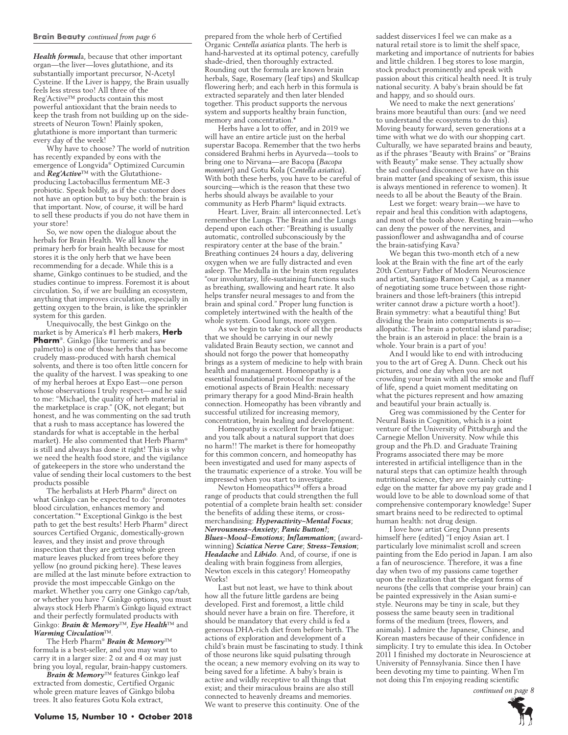#### **Brain Beauty** *continued from page 6*

*Health formul*a, because that other important organ—the liver—loves glutathione, and its substantially important precursor, N-Acetyl Cysteine. If the Liver is happy, the Brain usually feels less stress too! All three of the Reg'Active™ products contain this most powerful antioxidant that the brain needs to keep the trash from not building up on the sidestreets of Neuron Town! Plainly spoken, glutathione is more important than turmeric every day of the week!

Why have to choose? The world of nutrition has recently expanded by eons with the emergence of Longvida® Optimized Curcumin and *Reg'Active*™ with the Glutathioneproducing Lactobacillus fermentum ME-3 probiotic. Speak boldly, as if the customer does not have an option but to buy both: the brain is that important. Now, of course, it will be hard to sell these products if you do not have them in your store!

So, we now open the dialogue about the herbals for Brain Health. We all know the primary herb for brain health because for most stores it is the only herb that we have been recommending for a decade. While this is a shame, Ginkgo continues to be studied, and the studies continue to impress. Foremost it is about circulation. So, if we are building an ecosystem, anything that improves circulation, especially in getting oxygen to the brain, is like the sprinkler system for this garden.

Unequivocally, the best Ginkgo on the market is by America's #1 herb makers, **Herb Pharm**®. Ginkgo (like turmeric and saw palmetto) is one of those herbs that has become crudely mass-produced with harsh chemical solvents, and there is too often little concern for the quality of the harvest. I was speaking to one of my herbal heroes at Expo East—one person whose observations I truly respect—and he said to me: "Michael, the quality of herb material in the marketplace is crap." (OK, not elegant; but honest, and he was commenting on the sad truth that a rush to mass acceptance has lowered the standards for what is acceptable in the herbal market). He also commented that Herb Pharm® is still and always has done it right! This is why we need the health food store, and the vigilance of gatekeepers in the store who understand the value of sending their local customers to the best products possible

The herbalists at Herb Pharm® direct on what Ginkgo can be expected to do: "promotes blood circulation, enhances memory and concertation."\* Exceptional Ginkgo is the best path to get the best results! Herb Pharm® direct sources Certified Organic, domestically-grown leaves, and they insist and prove through inspection that they are getting whole green mature leaves plucked from trees before they yellow (no ground picking here). These leaves are milled at the last minute before extraction to provide the most impeccable Ginkgo on the market. Whether you carry one Ginkgo cap/tab, or whether you have 7 Ginkgo options, you must always stock Herb Pharm's Ginkgo liquid extract and their perfectly formulated products with Ginkgo: *Brain & Memory*™, *Eye Health*™ and *Warming Circulation*™.

The Herb Pharm® *Brain & Memory*™ formula is a best-seller, and you may want to carry it in a larger size: 2 oz and 4 oz may just bring you loyal, regular, brain-happy customers.

*Brain & Memory*™ features Ginkgo leaf extracted from domestic, Certified Organic whole green mature leaves of Ginkgo biloba trees. It also features Gotu Kola extract,

prepared from the whole herb of Certified Organic *Centella asiatica* plants. The herb is hand-harvested at its optimal potency, carefully shade-dried, then thoroughly extracted. Rounding out the formula are known brain herbals, Sage, Rosemary (leaf tips) and Skullcap flowering herb; and each herb in this formula is extracted separately and then later blended together. This product supports the nervous system and supports healthy brain function, memory and concentration.\*

Herbs have a lot to offer, and in 2019 we will have an entire article just on the herbal superstar Bacopa. Remember that the two herbs considered Brahmi herbs in Ayurveda—tools to bring one to Nirvana—are Bacopa (*Bacopa monnieri*) and Gotu Kola (*Centella asiatica*). With both these herbs, you have to be careful of sourcing—which is the reason that these two herbs should always be available to your community as Herb Pharm® liquid extracts.

Heart. Liver, Brain: all interconnected. Let's remember the Lungs. The Brain and the Lungs depend upon each other: "Breathing is usually automatic, controlled subconsciously by the respiratory center at the base of the brain." Breathing continues 24 hours a day, delivering oxygen when we are fully distracted and even asleep. The Medulla in the brain stem regulates "our involuntary, life-sustaining functions such as breathing, swallowing and heart rate. It also helps transfer neural messages to and from the brain and spinal cord." Proper lung function is completely intertwined with the health of the whole system. Good lungs, more oxygen.

As we begin to take stock of all the products that we should be carrying in our newly validated Brain Beauty section, we cannot and should not forgo the power that homeopathy brings as a system of medicine to help with brain health and management. Homeopathy is a essential foundational protocol for many of the emotional aspects of Brain Health: necessary primary therapy for a good Mind-Brain health connection. Homeopathy has been vibrantly and successful utilized for increasing memory, concentration, brain healing and development.

Homeopathy is excellent for brain fatigue: and you talk about a natural support that does no harm!! The market is there for homeopathy for this common concern, and homeopathy has been investigated and used for many aspects of the traumatic experience of a stroke. You will be impressed when you start to investigate.

Newton Homeopathics™ offers a broad range of products that could strengthen the full potential of a complete brain health set: consider the benefits of adding these items, or crossmerchandising: *Hyperactivity~Mental Focus*; *Nervousness~Anxiety*; *Panic Button!*; *Blues~Mood~Emotions*; *Inflammation*; (awardwinning) *Sciatica Nerve Care*; *Stress~Tension*; *Headache* and *Libido*. And, of course, if one is dealing with brain fogginess from allergies, Newton excels in this category! Homeopathy Works!

Last but not least, we have to think about how all the future little gardens are being developed. First and foremost, a little child should never have a brain on fire. Therefore, it should be mandatory that every child is fed a generous DHA-rich diet from before birth. The actions of exploration and development of a child's brain must be fascinating to study. I think of those neurons like squid pulsating through the ocean; a new memory evolving on its way to being saved for a lifetime. A baby's brain is active and wildly receptive to all things that exist; and their miraculous brains are also still connected to heavenly dreams and memories. We want to preserve this continuity. One of the

saddest disservices I feel we can make as a natural retail store is to limit the shelf space, marketing and importance of nutrients for babies and little children. I beg stores to lose margin, stock product prominently and speak with passion about this critical health need. It is truly national security. A baby's brain should be fat and happy, and so should ours.

We need to make the next generations' brains more beautiful than ours: (and we need to understand the ecosystems to do this). Moving beauty forward, seven generations at a time with what we do with our shopping cart. Culturally, we have separated brains and beauty, as if the phrases "Beauty with Brains" or "Brains with Beauty" make sense. They actually show the sad confused disconnect we have on this brain matter (and speaking of sexism, this issue is always mentioned in reference to women). It needs to all be about the Beauty of the Brain.

Lest we forget: weary brain—we have to repair and heal this condition with adaptogens, and most of the tools above. Resting brain—who can deny the power of the nervines, and passionflower and ashwagandha and of course the brain-satisfying Kava?

We began this two-month etch of a new look at the Brain with the fine art of the early 20th Century Father of Modern Neuroscience and artist, Santiago Ramon y Cajal, as a manner of negotiating some truce between those rightbrainers and those left-brainers (this intrepid writer cannot draw a picture worth a hoot!). Brain symmetry: what a beautiful thing! But dividing the brain into compartments is so allopathic. The brain a potential island paradise; the brain is an asteroid in place: the brain is a whole. Your brain is a part of you!

And I would like to end with introducing you to the art of Greg A. Dunn. Check out his pictures, and one day when you are not crowding your brain with all the smoke and fluff of life, spend a quiet moment meditating on what the pictures represent and how amazing and beautiful your brain actually is.

Greg was commissioned by the Center for Neural Basis in Cognition, which is a joint venture of the University of Pittsburgh and the Carnegie Mellon University. Now while this group and the Ph.D. and Graduate Training Programs associated there may be more interested in artificial intelligence than in the natural steps that can optimize health through nutritional science, they are certainly cuttingedge on the matter far above my pay grade and I would love to be able to download some of that comprehensive contemporary knowledge! Super smart brains need to be redirected to optimal human health: not drug design.

I love how artist Greg Dunn presents himself here (edited) "I enjoy Asian art. I particularly love minimalist scroll and screen painting from the Edo period in Japan. I am also a fan of neuroscience. Therefore, it was a fine day when two of my passions came together upon the realization that the elegant forms of neurons (the cells that comprise your brain) can be painted expressively in the Asian sumi-e style. Neurons may be tiny in scale, but they possess the same beauty seen in traditional forms of the medium (trees, flowers, and animals). I admire the Japanese, Chinese, and Korean masters because of their confidence in simplicity. I try to emulate this idea. In October 2011 I finished my doctorate in Neuroscience at University of Pennsylvania. Since then I have been devoting my time to painting. When I'm not doing this I'm enjoying reading scientific

 *continued on page 8*